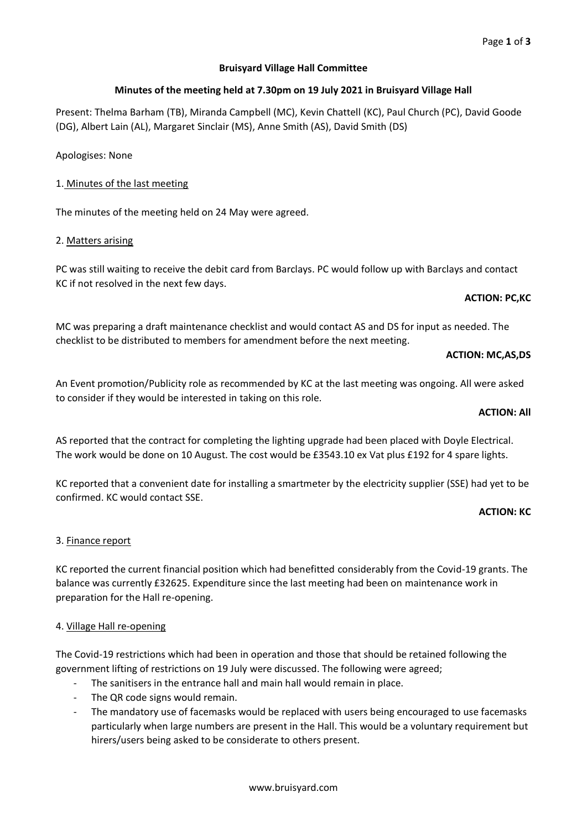# **Bruisyard Village Hall Committee**

# **Minutes of the meeting held at 7.30pm on 19 July 2021 in Bruisyard Village Hall**

Present: Thelma Barham (TB), Miranda Campbell (MC), Kevin Chattell (KC), Paul Church (PC), David Goode (DG), Albert Lain (AL), Margaret Sinclair (MS), Anne Smith (AS), David Smith (DS)

Apologises: None

# 1. Minutes of the last meeting

The minutes of the meeting held on 24 May were agreed.

# 2. Matters arising

PC was still waiting to receive the debit card from Barclays. PC would follow up with Barclays and contact KC if not resolved in the next few days.

# **ACTION: PC,KC**

MC was preparing a draft maintenance checklist and would contact AS and DS for input as needed. The checklist to be distributed to members for amendment before the next meeting.

# **ACTION: MC,AS,DS**

An Event promotion/Publicity role as recommended by KC at the last meeting was ongoing. All were asked to consider if they would be interested in taking on this role.

### **ACTION: All**

AS reported that the contract for completing the lighting upgrade had been placed with Doyle Electrical. The work would be done on 10 August. The cost would be £3543.10 ex Vat plus £192 for 4 spare lights.

KC reported that a convenient date for installing a smartmeter by the electricity supplier (SSE) had yet to be confirmed. KC would contact SSE.

### **ACTION: KC**

# 3. Finance report

KC reported the current financial position which had benefitted considerably from the Covid-19 grants. The balance was currently £32625. Expenditure since the last meeting had been on maintenance work in preparation for the Hall re-opening.

# 4. Village Hall re-opening

The Covid-19 restrictions which had been in operation and those that should be retained following the government lifting of restrictions on 19 July were discussed. The following were agreed;

- The sanitisers in the entrance hall and main hall would remain in place.
- The QR code signs would remain.
- The mandatory use of facemasks would be replaced with users being encouraged to use facemasks particularly when large numbers are present in the Hall. This would be a voluntary requirement but hirers/users being asked to be considerate to others present.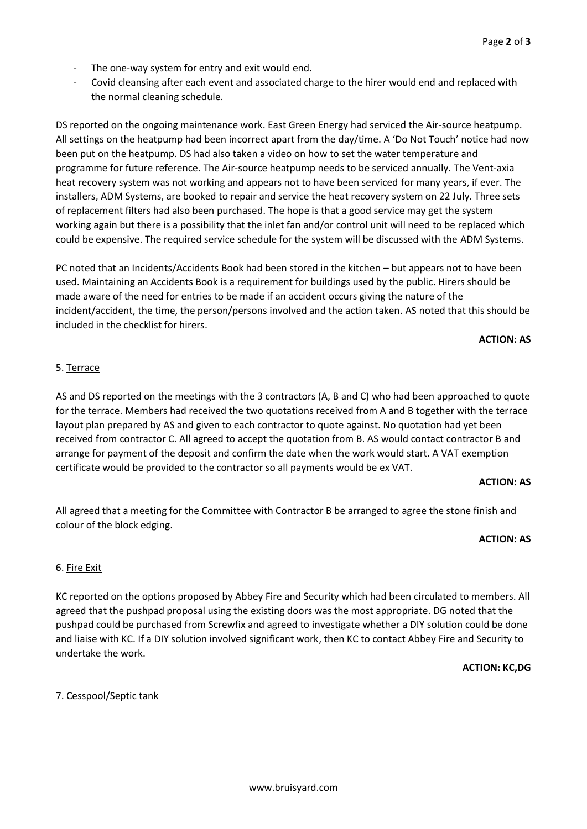- The one-way system for entry and exit would end.
- Covid cleansing after each event and associated charge to the hirer would end and replaced with the normal cleaning schedule.

DS reported on the ongoing maintenance work. East Green Energy had serviced the Air-source heatpump. All settings on the heatpump had been incorrect apart from the day/time. A 'Do Not Touch' notice had now been put on the heatpump. DS had also taken a video on how to set the water temperature and programme for future reference. The Air-source heatpump needs to be serviced annually. The Vent-axia heat recovery system was not working and appears not to have been serviced for many years, if ever. The installers, ADM Systems, are booked to repair and service the heat recovery system on 22 July. Three sets of replacement filters had also been purchased. The hope is that a good service may get the system working again but there is a possibility that the inlet fan and/or control unit will need to be replaced which could be expensive. The required service schedule for the system will be discussed with the ADM Systems.

PC noted that an Incidents/Accidents Book had been stored in the kitchen – but appears not to have been used. Maintaining an Accidents Book is a requirement for buildings used by the public. Hirers should be made aware of the need for entries to be made if an accident occurs giving the nature of the incident/accident, the time, the person/persons involved and the action taken. AS noted that this should be included in the checklist for hirers.

### **ACTION: AS**

### 5. Terrace

AS and DS reported on the meetings with the 3 contractors (A, B and C) who had been approached to quote for the terrace. Members had received the two quotations received from A and B together with the terrace layout plan prepared by AS and given to each contractor to quote against. No quotation had yet been received from contractor C. All agreed to accept the quotation from B. AS would contact contractor B and arrange for payment of the deposit and confirm the date when the work would start. A VAT exemption certificate would be provided to the contractor so all payments would be ex VAT.

#### **ACTION: AS**

All agreed that a meeting for the Committee with Contractor B be arranged to agree the stone finish and colour of the block edging.

#### **ACTION: AS**

### 6. Fire Exit

KC reported on the options proposed by Abbey Fire and Security which had been circulated to members. All agreed that the pushpad proposal using the existing doors was the most appropriate. DG noted that the pushpad could be purchased from Screwfix and agreed to investigate whether a DIY solution could be done and liaise with KC. If a DIY solution involved significant work, then KC to contact Abbey Fire and Security to undertake the work.

**ACTION: KC,DG**

### 7. Cesspool/Septic tank